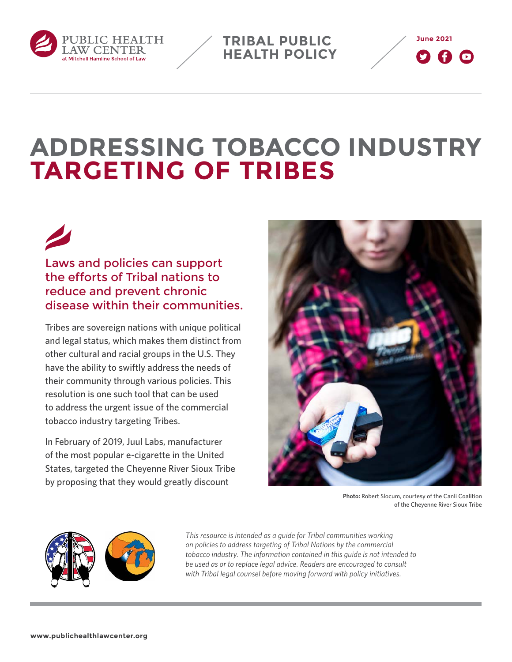

**TRIBAL PUBLIC HEALTH POLICY**



# **ADDRESSING TOBACCO INDUSTRY TARGETING OF TRIBES**

Laws and policies can support the efforts of Tribal nations to reduce and prevent chronic disease within their communities.

Tribes are sovereign nations with unique political and legal status, which makes them distinct from other cultural and racial groups in the U.S. They have the ability to swiftly address the needs of their community through various policies. This resolution is one such tool that can be used to address the urgent issue of the commercial tobacco industry targeting Tribes.

In February of 2019, Juul Labs, manufacturer of the most popular e-cigarette in the United States, targeted the Cheyenne River Sioux Tribe by proposing that they would greatly discount



**Photo:** Robert Slocum, courtesy of the Canli Coalition of the Cheyenne River Sioux Tribe



*This resource is intended as a guide for Tribal communities working on policies to address targeting of Tribal Nations by the commercial tobacco industry. The information contained in this guide is not intended to be used as or to replace legal advice. Readers are encouraged to consult with Tribal legal counsel before moving forward with policy initiatives.*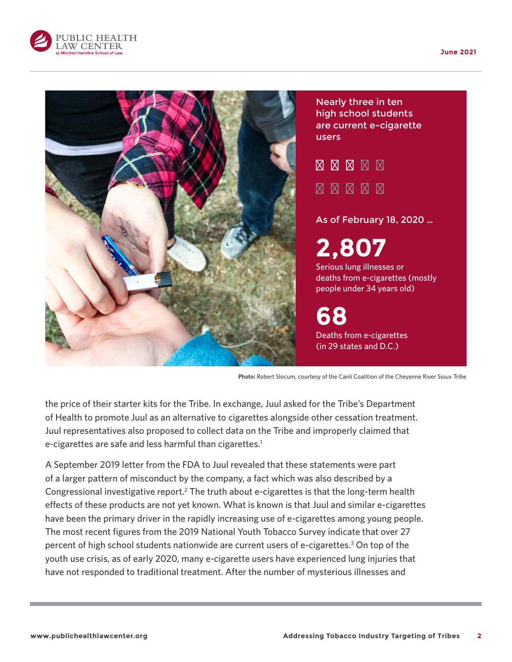



**Photo:** Robert Slocum, courtesy of the Canli Coalition of the Cheyenne River Sioux Tribe

the price of their starter kits for the Tribe. In exchange, Juul asked for the Tribe's Department of Health to promote Juul as an alternative to cigarettes alongside other cessation treatment. Juul representatives also proposed to collect data on the Tribe and improperly claimed that e-cigarettes are safe and less harmful than cigarettes.<sup>1</sup>

A September 2019 letter from the FDA to Juul revealed that these statements were part of a larger pattern of misconduct by the company, a fact which was also described by a Congressional investigative report.<sup>2</sup> The truth about e-cigarettes is that the long-term health effects of these products are not yet known. What is known is that Juul and similar e-cigarettes have been the primary driver in the rapidly increasing use of e-cigarettes among young people. The most recent figures from the 2019 National Youth Tobacco Survey indicate that over 27 percent of high school students nationwide are current users of e-cigarettes.<sup>3</sup> On top of the youth use crisis, as of early 2020, many e-cigarette users have experienced lung injuries that have not responded to traditional treatment. After the number of mysterious illnesses and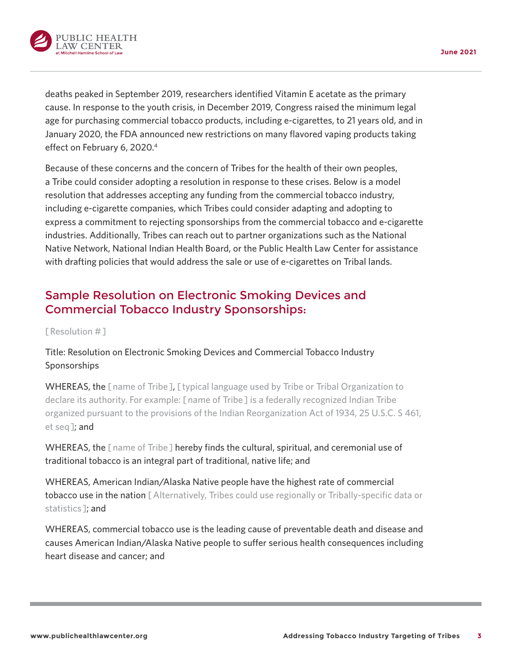

deaths peaked in September 2019, researchers identified Vitamin E acetate as the primary cause. In response to the youth crisis, in December 2019, Congress raised the minimum legal age for purchasing commercial tobacco products, including e-cigarettes, to 21 years old, and in January 2020, the FDA announced new restrictions on many flavored vaping products taking

effect on February 6, 2020.<sup>4</sup>

Because of these concerns and the concern of Tribes for the health of their own peoples, a Tribe could consider adopting a resolution in response to these crises. Below is a model resolution that addresses accepting any funding from the commercial tobacco industry, including e-cigarette companies, which Tribes could consider adapting and adopting to express a commitment to rejecting sponsorships from the commercial tobacco and e-cigarette industries. Additionally, Tribes can reach out to partner organizations such as the National Native Network, National Indian Health Board, or the Public Health Law Center for assistance with drafting policies that would address the sale or use of e-cigarettes on Tribal lands.

## Sample Resolution on Electronic Smoking Devices and Commercial Tobacco Industry Sponsorships:

[ Resolution #]

### Title: Resolution on Electronic Smoking Devices and Commercial Tobacco Industry Sponsorships

WHEREAS, the [name of Tribe], [typical language used by Tribe or Tribal Organization to declare its authority. For example: [ name of Tribe ] is a federally recognized Indian Tribe organized pursuant to the provisions of the Indian Reorganization Act of 1934, 25 U.S.C. S 461, et seq ]; and

WHEREAS, the [name of Tribe] hereby finds the cultural, spiritual, and ceremonial use of traditional tobacco is an integral part of traditional, native life; and

WHEREAS, American Indian/Alaska Native people have the highest rate of commercial tobacco use in the nation [Alternatively, Tribes could use regionally or Tribally-specific data or statistics ]; and

WHEREAS, commercial tobacco use is the leading cause of preventable death and disease and causes American Indian/Alaska Native people to suffer serious health consequences including heart disease and cancer; and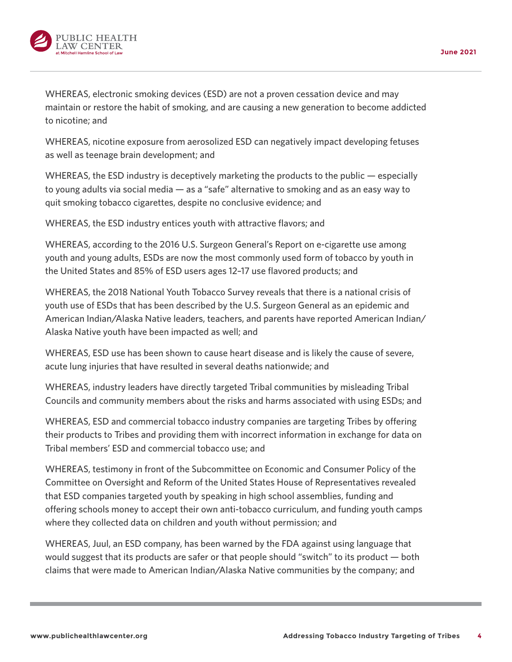

WHEREAS, electronic smoking devices (ESD) are not a proven cessation device and may maintain or restore the habit of smoking, and are causing a new generation to become addicted to nicotine; and

WHEREAS, nicotine exposure from aerosolized ESD can negatively impact developing fetuses as well as teenage brain development; and

WHEREAS, the ESD industry is deceptively marketing the products to the public — especially to young adults via social media — as a "safe" alternative to smoking and as an easy way to quit smoking tobacco cigarettes, despite no conclusive evidence; and

WHEREAS, the ESD industry entices youth with attractive flavors; and

WHEREAS, according to the 2016 U.S. Surgeon General's Report on e-cigarette use among youth and young adults, ESDs are now the most commonly used form of tobacco by youth in the United States and 85% of ESD users ages 12–17 use flavored products; and

WHEREAS, the 2018 National Youth Tobacco Survey reveals that there is a national crisis of youth use of ESDs that has been described by the U.S. Surgeon General as an epidemic and American Indian/Alaska Native leaders, teachers, and parents have reported American Indian/ Alaska Native youth have been impacted as well; and

WHEREAS, ESD use has been shown to cause heart disease and is likely the cause of severe, acute lung injuries that have resulted in several deaths nationwide; and

WHEREAS, industry leaders have directly targeted Tribal communities by misleading Tribal Councils and community members about the risks and harms associated with using ESDs; and

WHEREAS, ESD and commercial tobacco industry companies are targeting Tribes by offering their products to Tribes and providing them with incorrect information in exchange for data on Tribal members' ESD and commercial tobacco use; and

WHEREAS, testimony in front of the Subcommittee on Economic and Consumer Policy of the Committee on Oversight and Reform of the United States House of Representatives revealed that ESD companies targeted youth by speaking in high school assemblies, funding and offering schools money to accept their own anti-tobacco curriculum, and funding youth camps where they collected data on children and youth without permission; and

WHEREAS, Juul, an ESD company, has been warned by the FDA against using language that would suggest that its products are safer or that people should "switch" to its product — both claims that were made to American Indian/Alaska Native communities by the company; and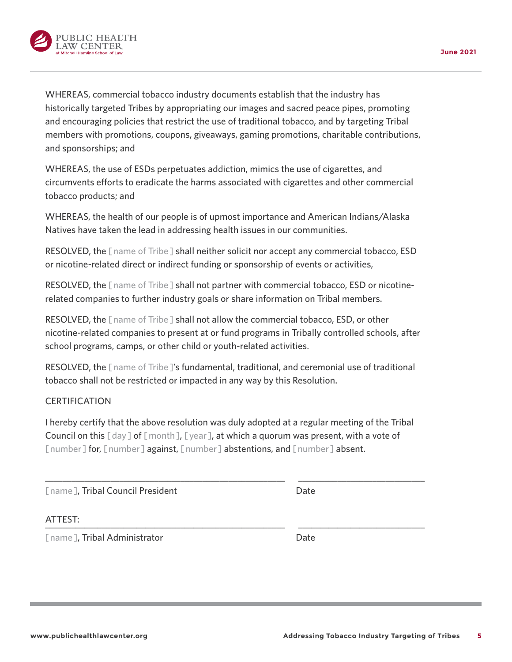

tobacco products; and

and sponsorships; and

UBLIC HEALTH **LAW CENTER** 

WHEREAS, the health of our people is of upmost importance and American Indians/Alaska Natives have taken the lead in addressing health issues in our communities.

WHEREAS, commercial tobacco industry documents establish that the industry has

WHEREAS, the use of ESDs perpetuates addiction, mimics the use of cigarettes, and

historically targeted Tribes by appropriating our images and sacred peace pipes, promoting and encouraging policies that restrict the use of traditional tobacco, and by targeting Tribal members with promotions, coupons, giveaways, gaming promotions, charitable contributions,

RESOLVED, the [ name of Tribe ] shall neither solicit nor accept any commercial tobacco, ESD or nicotine-related direct or indirect funding or sponsorship of events or activities,

RESOLVED, the [name of Tribe] shall not partner with commercial tobacco, ESD or nicotinerelated companies to further industry goals or share information on Tribal members.

RESOLVED, the [ name of Tribe ] shall not allow the commercial tobacco, ESD, or other nicotine-related companies to present at or fund programs in Tribally controlled schools, after school programs, camps, or other child or youth-related activities.

RESOLVED, the [ name of Tribe ]'s fundamental, traditional, and ceremonial use of traditional tobacco shall not be restricted or impacted in any way by this Resolution.

#### **CERTIFICATION**

I hereby certify that the above resolution was duly adopted at a regular meeting of the Tribal Council on this  $\lceil day \rceil$  of  $\lceil m \cdot d \rceil$ ,  $\lceil y \cdot ear \rceil$ , at which a quorum was present, with a vote of [ number ] for, [ number ] against, [ number ] abstentions, and [ number ] absent.

\_\_\_\_\_\_\_\_\_\_\_\_\_\_\_\_\_\_\_\_\_\_\_\_\_\_\_\_\_\_\_\_\_\_\_\_\_\_\_\_\_\_\_\_\_\_\_\_\_\_\_\_\_\_\_ \_\_\_\_\_\_\_\_\_\_\_\_\_\_\_\_\_\_\_\_\_\_\_\_\_\_\_\_\_

[name], Tribal Council President Date

#### ATTEST: \_\_\_\_\_\_\_\_\_\_\_\_\_\_\_\_\_\_\_\_\_\_\_\_\_\_\_\_\_\_\_\_\_\_\_\_\_\_\_\_\_\_\_\_\_\_\_\_\_\_\_\_\_\_\_ \_\_\_\_\_\_\_\_\_\_\_\_\_\_\_\_\_\_\_\_\_\_\_\_\_\_\_\_\_

[name], Tribal Administrator Date